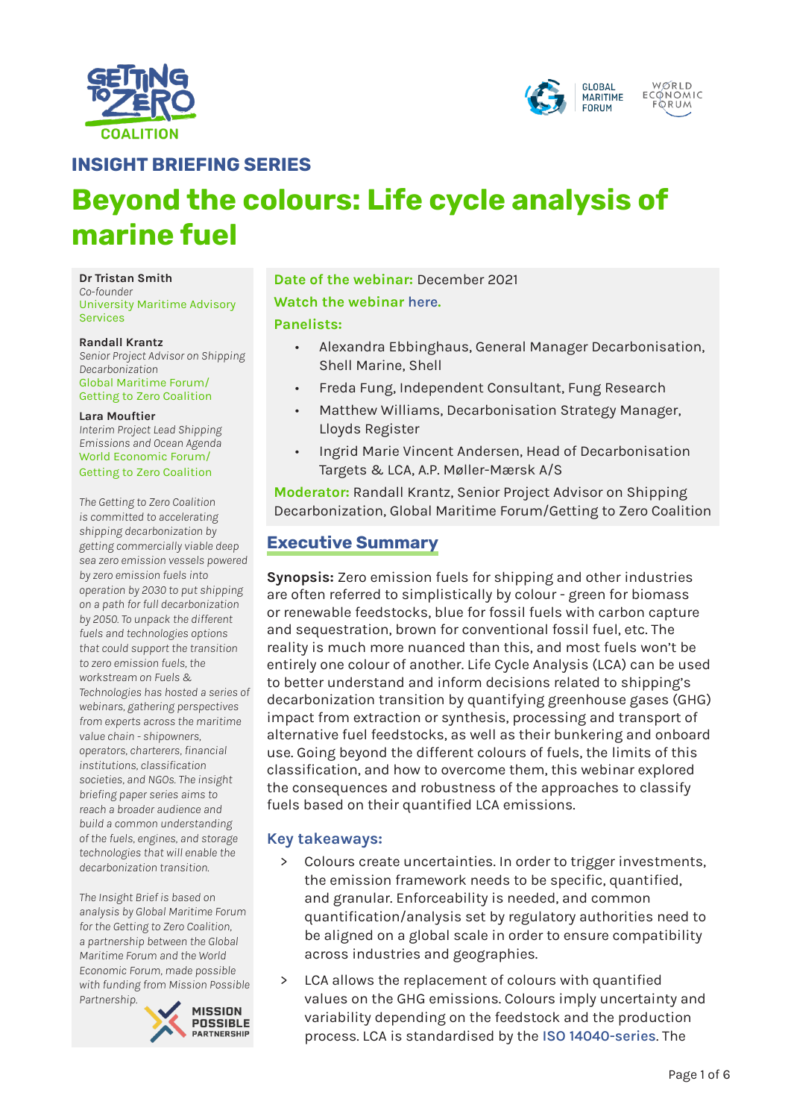



**INSIGHT BRIEFING SERIES**

# **Beyond the colours: Life cycle analysis of marine fuel**

**Dr Tristan Smith** *Co-founder* University Maritime Advisory Services

#### **Randall Krantz**

*Senior Project Advisor on Shipping Decarbonization* Global Maritime Forum/ Getting to Zero Coalition

#### **Lara Mouftier**

*Interim Project Lead Shipping Emissions and Ocean Agenda* World Economic Forum/ Getting to Zero Coalition

*The Getting to Zero Coalition is committed to accelerating shipping decarbonization by getting commercially viable deep sea zero emission vessels powered by zero emission fuels into operation by 2030 to put shipping on a path for full decarbonization by 2050. To unpack the different fuels and technologies options that could support the transition to zero emission fuels, the workstream on Fuels & Technologies has hosted a series of webinars, gathering perspectives from experts across the maritime value chain - shipowners, operators, charterers, financial institutions, classification societies, and NGOs. The insight briefing paper series aims to reach a broader audience and build a common understanding of the fuels, engines, and storage technologies that will enable the decarbonization transition.*

*The Insight Brief is based on analysis by Global Maritime Forum for the Getting to Zero Coalition, a partnership between the Global Maritime Forum and the World Economic Forum, made possible with funding from Mission Possible Partnership.* 



**Date of the webinar:** December 2021 **Watch the webinar [here](https://www.youtube.com/watch?v=QeSwNdB8_VY).** 

#### **Panelists:**

- Alexandra Ebbinghaus, General Manager Decarbonisation, Shell Marine, Shell
- Freda Fung, Independent Consultant, Fung Research
- Matthew Williams, Decarbonisation Strategy Manager, Lloyds Register
- Ingrid Marie Vincent Andersen, Head of Decarbonisation Targets & LCA, A.P. Møller-Mærsk A/S

**Moderator:** Randall Krantz, Senior Project Advisor on Shipping Decarbonization, Global Maritime Forum/Getting to Zero Coalition

# **Executive Summary**

**Synopsis:** Zero emission fuels for shipping and other industries are often referred to simplistically by colour - green for biomass or renewable feedstocks, blue for fossil fuels with carbon capture and sequestration, brown for conventional fossil fuel, etc. The reality is much more nuanced than this, and most fuels won't be entirely one colour of another. Life Cycle Analysis (LCA) can be used to better understand and inform decisions related to shipping's decarbonization transition by quantifying greenhouse gases (GHG) impact from extraction or synthesis, processing and transport of alternative fuel feedstocks, as well as their bunkering and onboard use. Going beyond the different colours of fuels, the limits of this classification, and how to overcome them, this webinar explored the consequences and robustness of the approaches to classify fuels based on their quantified LCA emissions.

#### **Key takeaways:**

- > Colours create uncertainties. In order to trigger investments, the emission framework needs to be specific, quantified, and granular. Enforceability is needed, and common quantification/analysis set by regulatory authorities need to be aligned on a global scale in order to ensure compatibility across industries and geographies.
- LCA allows the replacement of colours with quantified values on the GHG emissions. Colours imply uncertainty and variability depending on the feedstock and the production process. LCA is standardised by the **[ISO 14040-series](https://www.iso.org/standard/37456.html)**. The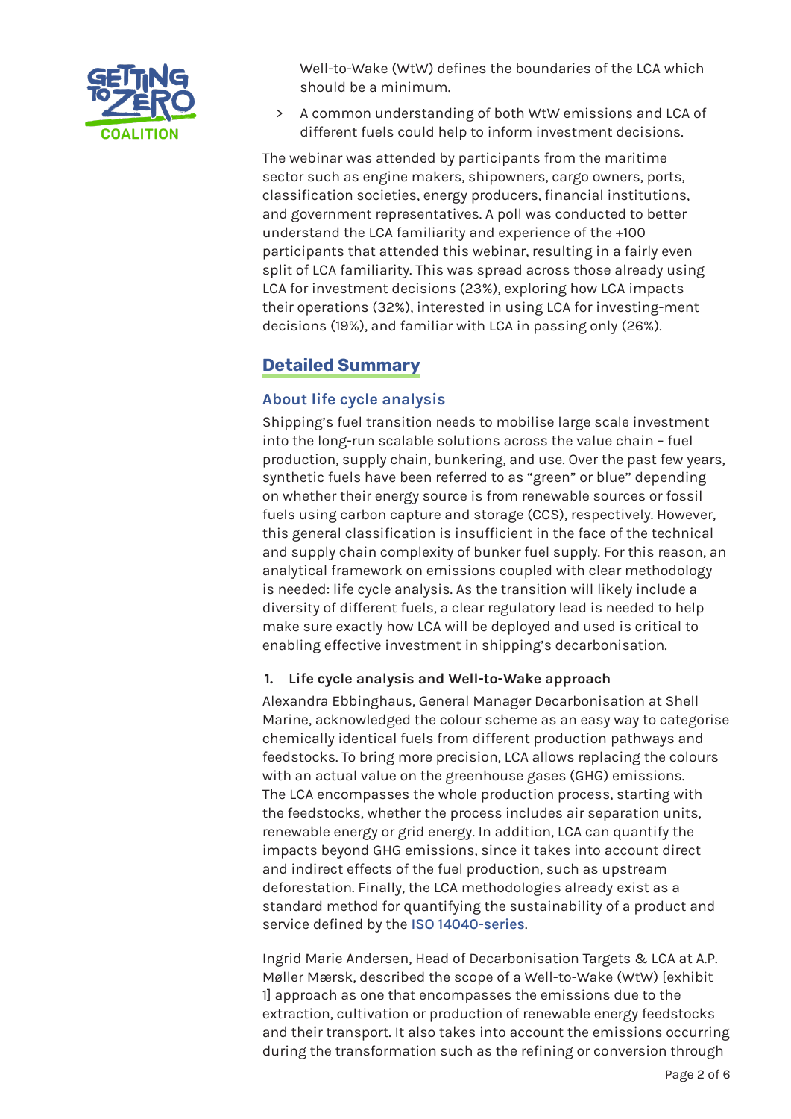

Well-to-Wake (WtW) defines the boundaries of the LCA which should be a minimum.

> A common understanding of both WtW emissions and LCA of different fuels could help to inform investment decisions.

The webinar was attended by participants from the maritime sector such as engine makers, shipowners, cargo owners, ports, classification societies, energy producers, financial institutions, and government representatives. A poll was conducted to better understand the LCA familiarity and experience of the +100 participants that attended this webinar, resulting in a fairly even split of LCA familiarity. This was spread across those already using LCA for investment decisions (23%), exploring how LCA impacts their operations (32%), interested in using LCA for investing-ment decisions (19%), and familiar with LCA in passing only (26%).

# **Detailed Summary**

## **About life cycle analysis**

Shipping's fuel transition needs to mobilise large scale investment into the long-run scalable solutions across the value chain – fuel production, supply chain, bunkering, and use. Over the past few years, synthetic fuels have been referred to as "green" or blue'' depending on whether their energy source is from renewable sources or fossil fuels using carbon capture and storage (CCS), respectively. However, this general classification is insufficient in the face of the technical and supply chain complexity of bunker fuel supply. For this reason, an analytical framework on emissions coupled with clear methodology is needed: life cycle analysis. As the transition will likely include a diversity of different fuels, a clear regulatory lead is needed to help make sure exactly how LCA will be deployed and used is critical to enabling effective investment in shipping's decarbonisation.

### **1. Life cycle analysis and Well-to-Wake approach**

Alexandra Ebbinghaus, General Manager Decarbonisation at Shell Marine, acknowledged the colour scheme as an easy way to categorise chemically identical fuels from different production pathways and feedstocks. To bring more precision, LCA allows replacing the colours with an actual value on the greenhouse gases (GHG) emissions. The LCA encompasses the whole production process, starting with the feedstocks, whether the process includes air separation units, renewable energy or grid energy. In addition, LCA can quantify the impacts beyond GHG emissions, since it takes into account direct and indirect effects of the fuel production, such as upstream deforestation. Finally, the LCA methodologies already exist as a standard method for quantifying the sustainability of a product and service defined by the **[ISO 14040-series](https://www.iso.org/standard/37456.html)**.

Ingrid Marie Andersen, Head of Decarbonisation Targets & LCA at A.P. Møller Mærsk, described the scope of a Well-to-Wake (WtW) [exhibit 1] approach as one that encompasses the emissions due to the extraction, cultivation or production of renewable energy feedstocks and their transport. It also takes into account the emissions occurring during the transformation such as the refining or conversion through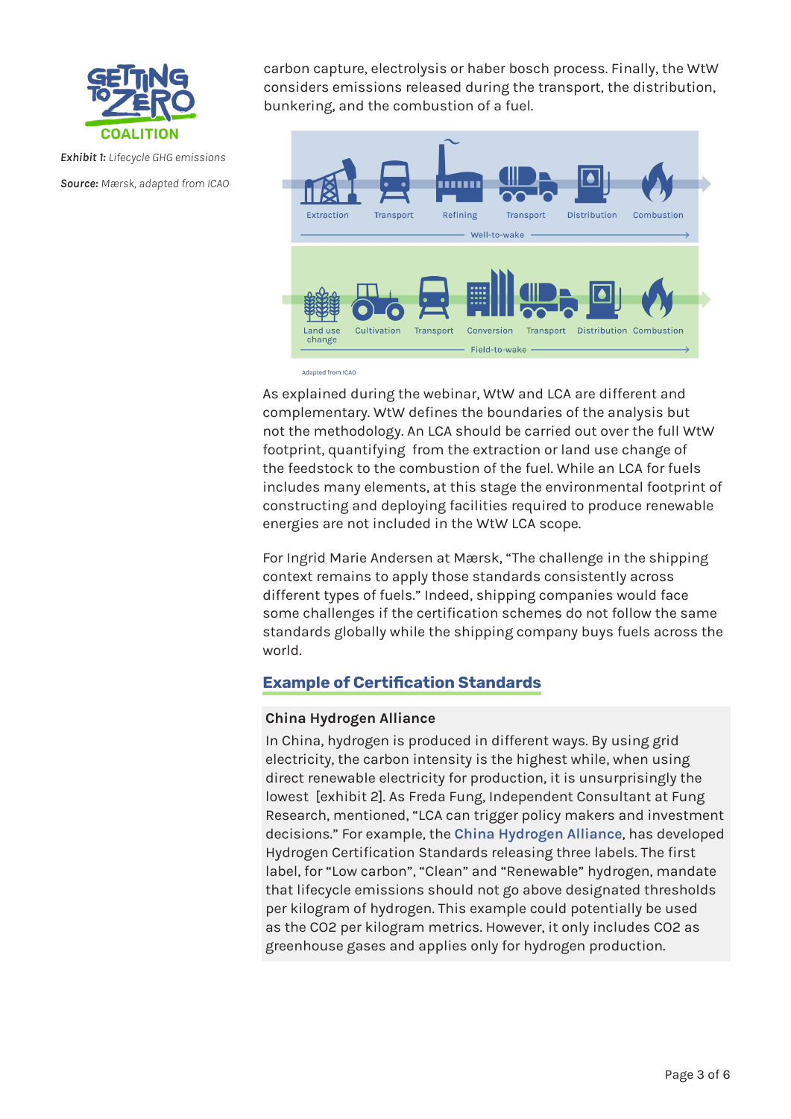

*Exhibit 1: Lifecycle GHG emissions Source: Mærsk, adapted from ICAO* carbon capture, electrolysis or haber bosch process. Finally, the WtW considers emissions released during the transport, the distribution, bunkering, and the combustion of a fuel.



Adapted from ICAO

As explained during the webinar, WtW and LCA are different and complementary. WtW defines the boundaries of the analysis but not the methodology. An LCA should be carried out over the full WtW footprint, quantifying from the extraction or land use change of the feedstock to the combustion of the fuel. While an LCA for fuels includes many elements, at this stage the environmental footprint of constructing and deploying facilities required to produce renewable energies are not included in the WtW LCA scope.

For Ingrid Marie Andersen at Mærsk, "The challenge in the shipping context remains to apply those standards consistently across different types of fuels." Indeed, shipping companies would face some challenges if the certification schemes do not follow the same standards globally while the shipping company buys fuels across the world.

## **Example of Certification Standards**

### **China Hydrogen Alliance**

In China, hydrogen is produced in different ways. By using grid electricity, the carbon intensity is the highest while, when using direct renewable electricity for production, it is unsurprisingly the lowest [exhibit 2]. As Freda Fung, Independent Consultant at Fung Research, mentioned, "LCA can trigger policy makers and investment decisions." For example, the **[China Hydrogen Alliance](http://h2cn.org.cn/en/join.html)**, has developed Hydrogen Certification Standards releasing three labels. The first label, for "Low carbon", "Clean" and "Renewable" hydrogen, mandate that lifecycle emissions should not go above designated thresholds per kilogram of hydrogen. This example could potentially be used as the CO2 per kilogram metrics. However, it only includes CO2 as greenhouse gases and applies only for hydrogen production.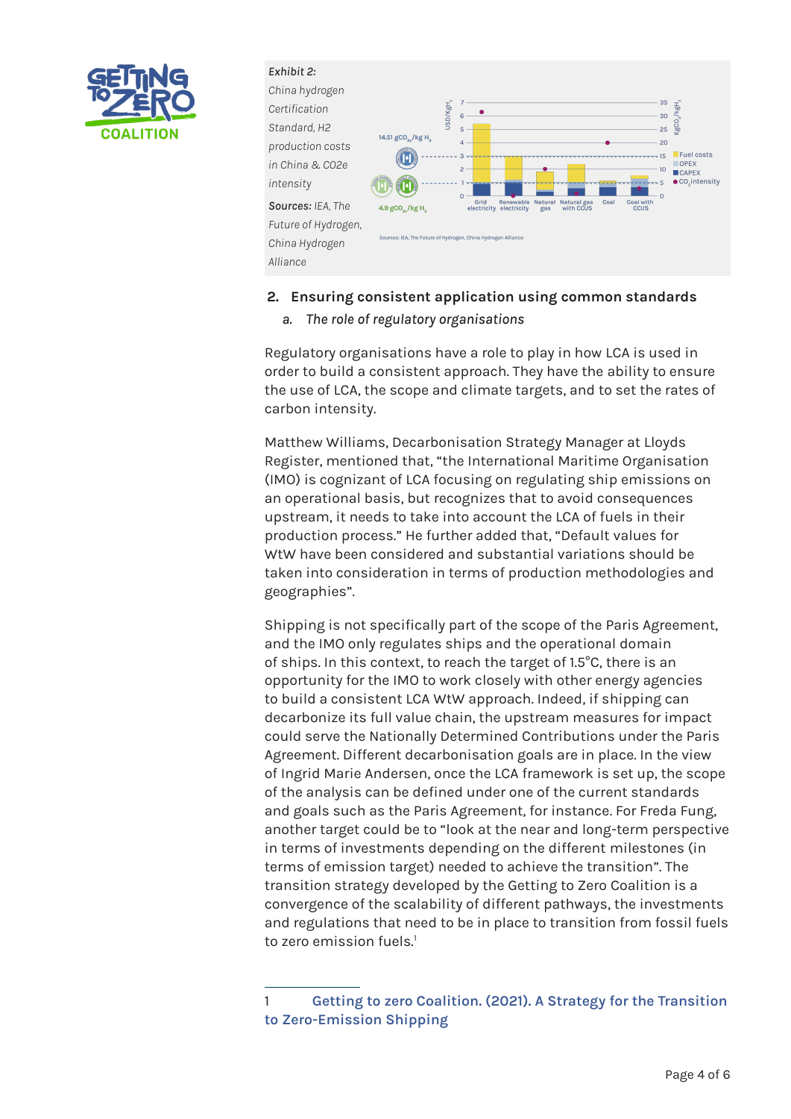



#### **2. Ensuring consistent application using common standards**

*a. The role of regulatory organisations*

Regulatory organisations have a role to play in how LCA is used in order to build a consistent approach. They have the ability to ensure the use of LCA, the scope and climate targets, and to set the rates of carbon intensity.

Matthew Williams, Decarbonisation Strategy Manager at Lloyds Register, mentioned that, "the International Maritime Organisation (IMO) is cognizant of LCA focusing on regulating ship emissions on an operational basis, but recognizes that to avoid consequences upstream, it needs to take into account the LCA of fuels in their production process." He further added that, "Default values for WtW have been considered and substantial variations should be taken into consideration in terms of production methodologies and geographies".

Shipping is not specifically part of the scope of the Paris Agreement, and the IMO only regulates ships and the operational domain of ships. In this context, to reach the target of 1.5°C, there is an opportunity for the IMO to work closely with other energy agencies to build a consistent LCA WtW approach. Indeed, if shipping can decarbonize its full value chain, the upstream measures for impact could serve the Nationally Determined Contributions under the Paris Agreement. Different decarbonisation goals are in place. In the view of Ingrid Marie Andersen, once the LCA framework is set up, the scope of the analysis can be defined under one of the current standards and goals such as the Paris Agreement, for instance. For Freda Fung, another target could be to "look at the near and long-term perspective in terms of investments depending on the different milestones (in terms of emission target) needed to achieve the transition". The transition strategy developed by the Getting to Zero Coalition is a convergence of the scalability of different pathways, the investments and regulations that need to be in place to transition from fossil fuels to zero emission fuels<sup>1</sup>

<sup>1</sup> **[Getting to zero Coalition. \(2021\). A Strategy for the Transition](https://www.globalmaritimeforum.org/content/2021/10/A-Strategy-for-the-Transition-to-Zero-Emission-Shipping.pdf)  [to Zero-Emission Shipping](https://www.globalmaritimeforum.org/content/2021/10/A-Strategy-for-the-Transition-to-Zero-Emission-Shipping.pdf)**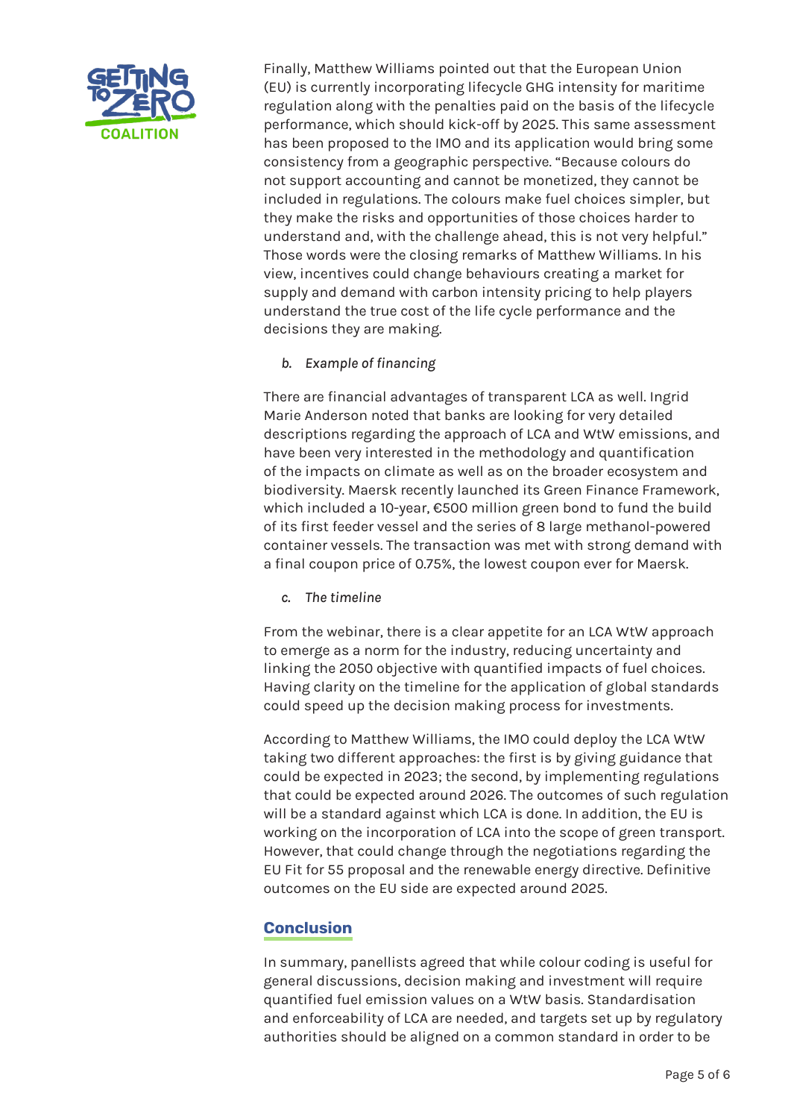

Finally, Matthew Williams pointed out that the European Union (EU) is currently incorporating lifecycle GHG intensity for maritime regulation along with the penalties paid on the basis of the lifecycle performance, which should kick-off by 2025. This same assessment has been proposed to the IMO and its application would bring some consistency from a geographic perspective. "Because colours do not support accounting and cannot be monetized, they cannot be included in regulations. The colours make fuel choices simpler, but they make the risks and opportunities of those choices harder to understand and, with the challenge ahead, this is not very helpful." Those words were the closing remarks of Matthew Williams. In his view, incentives could change behaviours creating a market for supply and demand with carbon intensity pricing to help players understand the true cost of the life cycle performance and the decisions they are making.

*b. Example of financing*

There are financial advantages of transparent LCA as well. Ingrid Marie Anderson noted that banks are looking for very detailed descriptions regarding the approach of LCA and WtW emissions, and have been very interested in the methodology and quantification of the impacts on climate as well as on the broader ecosystem and biodiversity. Maersk recently launched its Green Finance Framework, which included a 10-year, €500 million green bond to fund the build of its first feeder vessel and the series of 8 large methanol-powered container vessels. The transaction was met with strong demand with a final coupon price of 0.75%, the lowest coupon ever for Maersk.

*c. The timeline*

From the webinar, there is a clear appetite for an LCA WtW approach to emerge as a norm for the industry, reducing uncertainty and linking the 2050 objective with quantified impacts of fuel choices. Having clarity on the timeline for the application of global standards could speed up the decision making process for investments.

According to Matthew Williams, the IMO could deploy the LCA WtW taking two different approaches: the first is by giving guidance that could be expected in 2023; the second, by implementing regulations that could be expected around 2026. The outcomes of such regulation will be a standard against which LCA is done. In addition, the EU is working on the incorporation of LCA into the scope of green transport. However, that could change through the negotiations regarding the EU Fit for 55 proposal and the renewable energy directive. Definitive outcomes on the EU side are expected around 2025.

# **Conclusion**

In summary, panellists agreed that while colour coding is useful for general discussions, decision making and investment will require quantified fuel emission values on a WtW basis. Standardisation and enforceability of LCA are needed, and targets set up by regulatory authorities should be aligned on a common standard in order to be